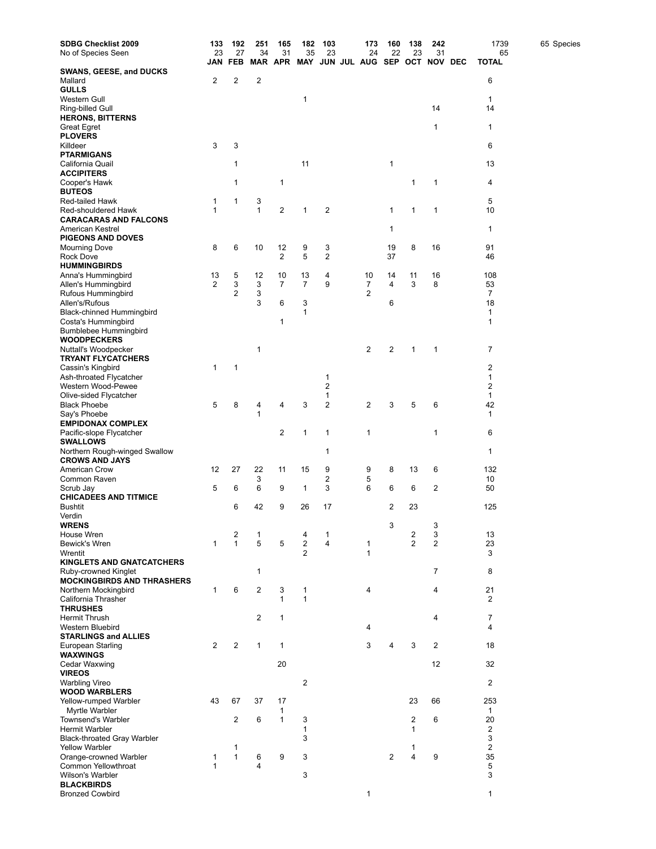| <b>SDBG Checklist 2009</b>                               | 133            | 192               | 251            | 165            | 182            | 103                     | 173                 | 160            | 138                     | 242            | 1739                    | 65 Species |
|----------------------------------------------------------|----------------|-------------------|----------------|----------------|----------------|-------------------------|---------------------|----------------|-------------------------|----------------|-------------------------|------------|
| No of Species Seen                                       | 23             | 27                | 34             | 31             | 35             | 23                      | 24                  | 22             | 23                      | 31             | 65                      |            |
|                                                          | JAN            | <b>FEB</b>        |                |                | MAR APR MAY    |                         | JUN JUL AUG SEP OCT |                |                         | <b>NOV DEC</b> | <b>TOTAL</b>            |            |
| <b>SWANS, GEESE, and DUCKS</b><br>Mallard                | 2              | 2                 | 2              |                |                |                         |                     |                |                         |                | 6                       |            |
| GULLS                                                    |                |                   |                |                |                |                         |                     |                |                         |                |                         |            |
| Western Gull                                             |                |                   |                |                | 1              |                         |                     |                |                         |                | 1                       |            |
| Ring-billed Gull                                         |                |                   |                |                |                |                         |                     |                |                         | 14             | 14                      |            |
| <b>HERONS, BITTERNS</b>                                  |                |                   |                |                |                |                         |                     |                |                         |                |                         |            |
| Great Egret<br><b>PLOVERS</b>                            |                |                   |                |                |                |                         |                     |                |                         | 1              | $\mathbf{1}$            |            |
| Killdeer                                                 | 3              | 3                 |                |                |                |                         |                     |                |                         |                | 6                       |            |
| <b>PTARMIGANS</b>                                        |                |                   |                |                |                |                         |                     |                |                         |                |                         |            |
| California Quail                                         |                | 1                 |                |                | 11             |                         |                     | 1              |                         |                | 13                      |            |
| <b>ACCIPITERS</b>                                        |                |                   |                |                |                |                         |                     |                |                         |                |                         |            |
| Cooper's Hawk                                            |                | 1                 |                | 1              |                |                         |                     |                | 1                       | 1              | 4                       |            |
| <b>BUTEOS</b><br>Red-tailed Hawk                         | 1              | 1                 | 3              |                |                |                         |                     |                |                         |                | 5                       |            |
| Red-shouldered Hawk                                      | 1              |                   | $\mathbf{1}$   | 2              | 1              | 2                       |                     | 1              | 1                       | 1              | 10                      |            |
| <b>CARACARAS AND FALCONS</b>                             |                |                   |                |                |                |                         |                     |                |                         |                |                         |            |
| American Kestrel                                         |                |                   |                |                |                |                         |                     | 1              |                         |                | 1                       |            |
| <b>PIGEONS AND DOVES</b>                                 |                |                   |                |                |                |                         |                     |                |                         |                |                         |            |
| <b>Mourning Dove</b>                                     | 8              | 6                 | 10             | 12             | 9              | 3                       |                     | 19             | 8                       | 16             | 91                      |            |
| Rock Dove<br><b>HUMMINGBIRDS</b>                         |                |                   |                | 2              | 5              | $\overline{2}$          |                     | 37             |                         |                | 46                      |            |
| Anna's Hummingbird                                       | 13             | 5                 | 12             | 10             | 13             | 4                       | 10                  | 14             | 11                      | 16             | 108                     |            |
| Allen's Hummingbird                                      | 2              | 3                 | 3              | $\overline{7}$ | $\overline{7}$ | 9                       | 7                   | 4              | 3                       | 8              | 53                      |            |
| Rufous Hummingbird                                       |                | 2                 | 3              |                |                |                         | 2                   |                |                         |                | 7                       |            |
| Allen's/Rufous                                           |                |                   | 3              | 6              | 3              |                         |                     | 6              |                         |                | 18                      |            |
| Black-chinned Hummingbird                                |                |                   |                |                | $\mathbf{1}$   |                         |                     |                |                         |                | 1                       |            |
| Costa's Hummingbird<br>Bumblebee Hummingbird             |                |                   |                | 1              |                |                         |                     |                |                         |                | 1                       |            |
| <b>WOODPECKERS</b>                                       |                |                   |                |                |                |                         |                     |                |                         |                |                         |            |
| Nuttall's Woodpecker                                     |                |                   | 1              |                |                |                         | 2                   | $\overline{2}$ | $\mathbf{1}$            | 1              | 7                       |            |
| <b>TRYANT FLYCATCHERS</b>                                |                |                   |                |                |                |                         |                     |                |                         |                |                         |            |
| Cassin's Kingbird                                        | 1              | 1                 |                |                |                |                         |                     |                |                         |                | 2                       |            |
| Ash-throated Flycatcher                                  |                |                   |                |                |                | 1<br>$\overline{2}$     |                     |                |                         |                | 1<br>2                  |            |
| Western Wood-Pewee<br>Olive-sided Flycatcher             |                |                   |                |                |                | 1                       |                     |                |                         |                | 1                       |            |
| <b>Black Phoebe</b>                                      | 5              | 8                 | 4              | 4              | 3              | 2                       | 2                   | 3              | 5                       | 6              | 42                      |            |
| Say's Phoebe                                             |                |                   | 1              |                |                |                         |                     |                |                         |                | 1                       |            |
| <b>EMPIDONAX COMPLEX</b>                                 |                |                   |                |                |                |                         |                     |                |                         |                |                         |            |
| Pacific-slope Flycatcher                                 |                |                   |                | 2              | $\mathbf{1}$   | 1                       | 1                   |                |                         | 1              | 6                       |            |
| <b>SWALLOWS</b><br>Northern Rough-winged Swallow         |                |                   |                |                |                | 1                       |                     |                |                         |                | 1                       |            |
| <b>CROWS AND JAYS</b>                                    |                |                   |                |                |                |                         |                     |                |                         |                |                         |            |
| American Crow                                            | 12             | 27                | 22             | 11             | 15             | 9                       | 9                   | 8              | 13                      | 6              | 132                     |            |
| Common Raven                                             |                |                   | 3              |                |                | 2                       | 5                   |                |                         |                | 10                      |            |
| Scrub Jay                                                | 5              | 6                 | 6              | 9              | 1              | 3                       | 6                   | 6              | 6                       | 2              | 50                      |            |
| <b>CHICADEES AND TITMICE</b><br><b>Bushtit</b>           |                | 6                 | 42             | 9              | 26             | 17                      |                     | 2              | 23                      |                | 125                     |            |
| Verdin                                                   |                |                   |                |                |                |                         |                     |                |                         |                |                         |            |
| <b>WRENS</b>                                             |                |                   |                |                |                |                         |                     | 3              |                         | 3              |                         |            |
| House Wren                                               |                | 2                 | 1              |                | 4              | 1                       |                     |                | $\overline{\mathbf{c}}$ | 3              | 13                      |            |
| Bewick's Wren                                            | $\mathbf{1}$   | $\mathbf{1}$      | 5              | 5              | $\overline{c}$ | $\overline{\mathbf{4}}$ | 1                   |                | $\overline{2}$          | $\overline{2}$ | 23                      |            |
| Wrentit                                                  |                |                   |                |                | $\overline{2}$ |                         | 1                   |                |                         |                | 3                       |            |
| <b>KINGLETS AND GNATCATCHERS</b><br>Ruby-crowned Kinglet |                |                   | 1              |                |                |                         |                     |                |                         | $\overline{7}$ | 8                       |            |
| <b>MOCKINGBIRDS AND THRASHERS</b>                        |                |                   |                |                |                |                         |                     |                |                         |                |                         |            |
| Northern Mockingbird                                     | $\mathbf{1}$   | 6                 | $\overline{c}$ | 3              | 1              |                         | 4                   |                |                         | 4              | 21                      |            |
| California Thrasher                                      |                |                   |                | $\mathbf{1}$   | $\mathbf{1}$   |                         |                     |                |                         |                | $\overline{2}$          |            |
| <b>THRUSHES</b>                                          |                |                   |                |                |                |                         |                     |                |                         |                |                         |            |
| <b>Hermit Thrush</b><br>Western Bluebird                 |                |                   | $\overline{2}$ | $\mathbf{1}$   |                |                         | 4                   |                |                         | 4              | 7<br>4                  |            |
| <b>STARLINGS and ALLIES</b>                              |                |                   |                |                |                |                         |                     |                |                         |                |                         |            |
| European Starling                                        | $\overline{2}$ | $\overline{c}$    | $\mathbf{1}$   | $\mathbf{1}$   |                |                         | 3                   |                | 3                       | $\overline{2}$ | 18                      |            |
| <b>WAXWINGS</b>                                          |                |                   |                |                |                |                         |                     |                |                         |                |                         |            |
| Cedar Waxwing                                            |                |                   |                | 20             |                |                         |                     |                |                         | 12             | 32                      |            |
| <b>VIREOS</b>                                            |                |                   |                |                | $\overline{2}$ |                         |                     |                |                         |                |                         |            |
| <b>Warbling Vireo</b><br><b>WOOD WARBLERS</b>            |                |                   |                |                |                |                         |                     |                |                         |                | 2                       |            |
| Yellow-rumped Warbler                                    | 43             | 67                | 37             | 17             |                |                         |                     |                | 23                      | 66             | 253                     |            |
| Myrtle Warbler                                           |                |                   |                | 1              |                |                         |                     |                |                         |                | 1                       |            |
| Townsend's Warbler                                       |                | $\overline{2}$    | 6              | $\mathbf{1}$   | 3              |                         |                     |                | 2                       | 6              | 20                      |            |
| Hermit Warbler                                           |                |                   |                |                | $\mathbf{1}$   |                         |                     |                | 1                       |                | $\overline{\mathbf{c}}$ |            |
| <b>Black-throated Gray Warbler</b>                       |                |                   |                |                | 3              |                         |                     |                |                         |                | 3                       |            |
| <b>Yellow Warbler</b><br>Orange-crowned Warbler          | 1              | 1<br>$\mathbf{1}$ | 6              | 9              | 3              |                         |                     | $\overline{c}$ | 1<br>4                  | 9              | $\overline{2}$<br>35    |            |
| Common Yellowthroat                                      | $\mathbf{1}$   |                   | 4              |                |                |                         |                     |                |                         |                | 5                       |            |
| Wilson's Warbler                                         |                |                   |                |                | 3              |                         |                     |                |                         |                | 3                       |            |
| <b>BLACKBIRDS</b>                                        |                |                   |                |                |                |                         |                     |                |                         |                |                         |            |
| <b>Bronzed Cowbird</b>                                   |                |                   |                |                |                |                         | 1                   |                |                         |                | 1                       |            |